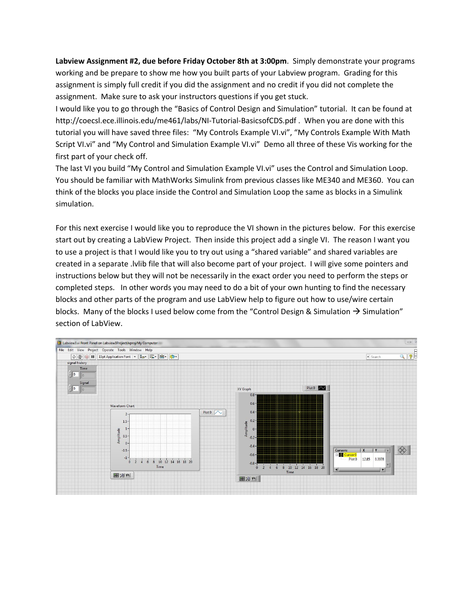**Labview Assignment #2, due before Friday October 8th at 3:00pm**. Simply demonstrate your programs working and be prepare to show me how you built parts of your Labview program. Grading for this assignment is simply full credit if you did the assignment and no credit if you did not complete the assignment. Make sure to ask your instructors questions if you get stuck.

I would like you to go through the "Basics of Control Design and Simulation" tutorial. It can be found at <http://coecsl.ece.illinois.edu/me461/labs/NI-Tutorial-BasicsofCDS.pdf> . When you are done with this tutorial you will have saved three files: "My Controls Example VI.vi", "My Controls Example With Math Script VI.vi" and "My Control and Simulation Example VI.vi" Demo all three of these Vis working for the first part of your check off.

The last VI you build "My Control and Simulation Example VI.vi" uses the Control and Simulation Loop. You should be familiar with MathWorks Simulink from previous classes like ME340 and ME360. You can think of the blocks you place inside the Control and Simulation Loop the same as blocks in a Simulink simulation.

For this next exercise I would like you to reproduce the VI shown in the pictures below. For this exercise start out by creating a LabView Project. Then inside this project add a single VI. The reason I want you to use a project is that I would like you to try out using a "shared variable" and shared variables are created in a separate .lvlib file that will also become part of your project. I will give some pointers and instructions below but they will not be necessarily in the exact order you need to perform the steps or completed steps. In other words you may need to do a bit of your own hunting to find the necessary blocks and other parts of the program and use LabView help to figure out how to use/wire certain blocks. Many of the blocks I used below come from the "Control Design & Simulation  $\rightarrow$  Simulation" section of LabView.

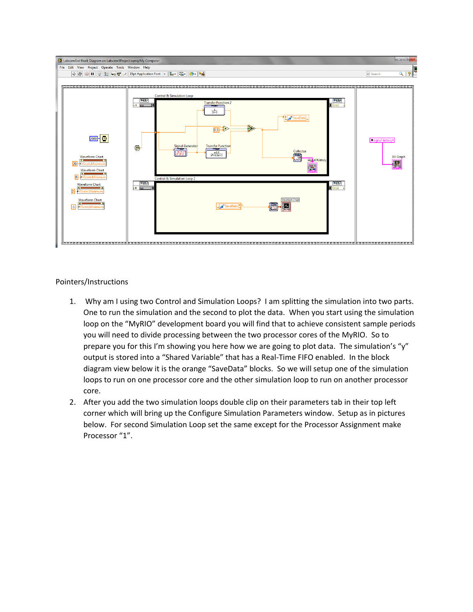

Pointers/Instructions

- 1. Why am I using two Control and Simulation Loops? I am splitting the simulation into two parts. One to run the simulation and the second to plot the data. When you start using the simulation loop on the "MyRIO" development board you will find that to achieve consistent sample periods you will need to divide processing between the two processor cores of the MyRIO. So to prepare you for this I'm showing you here how we are going to plot data. The simulation's "y" output is stored into a "Shared Variable" that has a Real-Time FIFO enabled. In the block diagram view below it is the orange "SaveData" blocks. So we will setup one of the simulation loops to run on one processor core and the other simulation loop to run on another processor core.
- 2. After you add the two simulation loops double clip on their parameters tab in their top left corner which will bring up the Configure Simulation Parameters window. Setup as in pictures below. For second Simulation Loop set the same except for the Processor Assignment make Processor "1".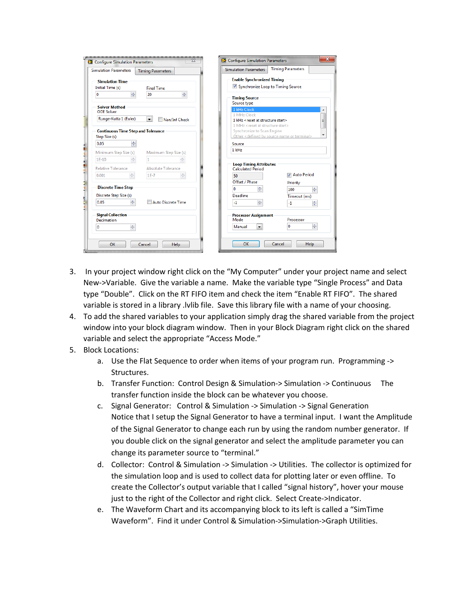| <b>Simulation Parameters</b>                | <b>Timing Parameters</b>                  | <b>Simulation Parameters</b>                      | <b>Timing Parameters</b> |
|---------------------------------------------|-------------------------------------------|---------------------------------------------------|--------------------------|
| <b>Simulation Time</b>                      |                                           | <b>Enable Synchronized Timing</b>                 |                          |
| Initial Time (s)<br><b>Final Time</b>       |                                           | ■ Synchronize Loop to Timing Source               |                          |
| $\frac{4}{7}$<br>0                          | ÷<br>20                                   | <b>Timing Source</b>                              |                          |
| <b>Solver Method</b>                        |                                           | Source type                                       |                          |
| <b>ODE Solver</b>                           |                                           | 1 kHz Clock<br>1 MHz Clock                        |                          |
| Runge-Kutta 1 (Euler)                       | $\overline{\phantom{a}}$<br>Nan/Inf Check | 1 kHz <reset at="" start="" structure=""></reset> | Ξ                        |
|                                             |                                           | 1 MHz <reset at="" start="" structure=""></reset> |                          |
| <b>Continuous Time Step and Tolerance</b>   |                                           | Synchronize to Scan Engine                        |                          |
| Step Size (s)                               |                                           | Other < defined by source name or terminal>       |                          |
| 수<br>0.05                                   |                                           | Source                                            |                          |
| Minimum Step Size (s)                       | Maximum Step Size (s)                     | $1$ kHz                                           |                          |
| ÷<br>$1E-10$                                | ÷                                         |                                                   |                          |
|                                             |                                           | <b>Loop Timing Attributes</b>                     |                          |
| <b>Relative Tolerance</b>                   | <b>Absolute Tolerance</b>                 | <b>Calculated Period</b>                          | M Auto Period            |
| 측<br>0.001                                  | $\frac{\Delta}{\Psi}$<br>$1E-7$           | 50                                                |                          |
|                                             |                                           | Offset / Phase                                    | Priority                 |
| <b>Discrete Time Step</b>                   |                                           | ÷<br>$\bf{0}$                                     | 수<br>100                 |
| Discrete Step Size (s)                      |                                           | Deadline                                          | Timeout (ms)             |
| 슥<br>0.05                                   | Auto Discrete Time                        | $\Rightarrow$<br>$-1$                             | ÷<br>$-1$                |
| <b>Signal Collection</b>                    |                                           | <b>Processor Assignment</b>                       |                          |
| Decimation                                  |                                           | Mode                                              | Processor                |
| $\frac{\triangle}{\blacktriangledown}$<br>0 |                                           | Manual<br>$\overline{\phantom{a}}$                | 수<br>o                   |
|                                             |                                           |                                                   |                          |

- 3. In your project window right click on the "My Computer" under your project name and select New->Variable. Give the variable a name. Make the variable type "Single Process" and Data type "Double". Click on the RT FIFO item and check the item "Enable RT FIFO". The shared variable is stored in a library .lvlib file. Save this library file with a name of your choosing.
- 4. To add the shared variables to your application simply drag the shared variable from the project window into your block diagram window. Then in your Block Diagram right click on the shared variable and select the appropriate "Access Mode."
- 5. Block Locations:
	- a. Use the Flat Sequence to order when items of your program run. Programming -> Structures.
	- b. Transfer Function: Control Design & Simulation-> Simulation -> Continuous The transfer function inside the block can be whatever you choose.
	- c. Signal Generator: Control & Simulation -> Simulation -> Signal Generation Notice that I setup the Signal Generator to have a terminal input. I want the Amplitude of the Signal Generator to change each run by using the random number generator. If you double click on the signal generator and select the amplitude parameter you can change its parameter source to "terminal."
	- d. Collector: Control & Simulation -> Simulation -> Utilities. The collector is optimized for the simulation loop and is used to collect data for plotting later or even offline. To create the Collector's output variable that I called "signal history", hover your mouse just to the right of the Collector and right click. Select Create->Indicator.
	- e. The Waveform Chart and its accompanying block to its left is called a "SimTime Waveform". Find it under Control & Simulation->Simulation->Graph Utilities.